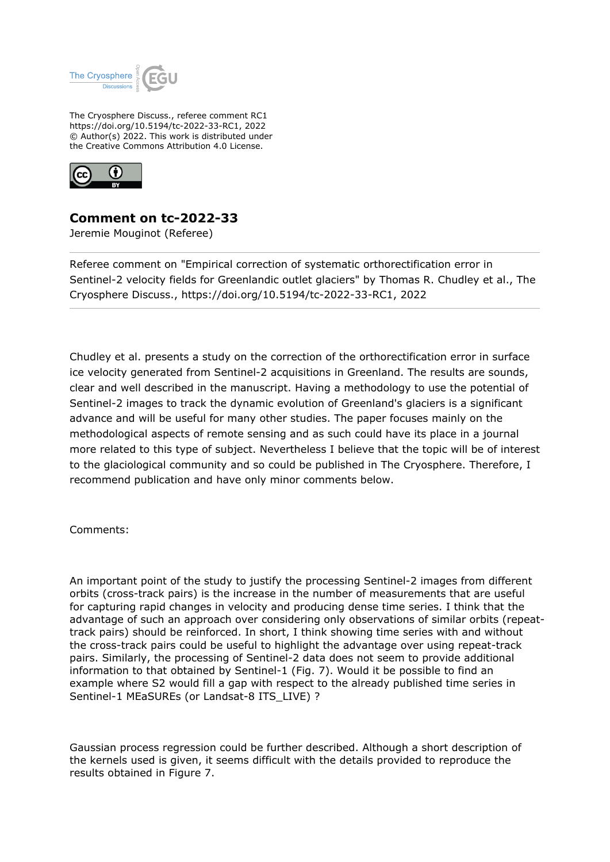

The Cryosphere Discuss., referee comment RC1 https://doi.org/10.5194/tc-2022-33-RC1, 2022 © Author(s) 2022. This work is distributed under the Creative Commons Attribution 4.0 License.



## **Comment on tc-2022-33**

Jeremie Mouginot (Referee)

Referee comment on "Empirical correction of systematic orthorectification error in Sentinel-2 velocity fields for Greenlandic outlet glaciers" by Thomas R. Chudley et al., The Cryosphere Discuss., https://doi.org/10.5194/tc-2022-33-RC1, 2022

Chudley et al. presents a study on the correction of the orthorectification error in surface ice velocity generated from Sentinel-2 acquisitions in Greenland. The results are sounds, clear and well described in the manuscript. Having a methodology to use the potential of Sentinel-2 images to track the dynamic evolution of Greenland's glaciers is a significant advance and will be useful for many other studies. The paper focuses mainly on the methodological aspects of remote sensing and as such could have its place in a journal more related to this type of subject. Nevertheless I believe that the topic will be of interest to the glaciological community and so could be published in The Cryosphere. Therefore, I recommend publication and have only minor comments below.

Comments:

An important point of the study to justify the processing Sentinel-2 images from different orbits (cross-track pairs) is the increase in the number of measurements that are useful for capturing rapid changes in velocity and producing dense time series. I think that the advantage of such an approach over considering only observations of similar orbits (repeattrack pairs) should be reinforced. In short, I think showing time series with and without the cross-track pairs could be useful to highlight the advantage over using repeat-track pairs. Similarly, the processing of Sentinel-2 data does not seem to provide additional information to that obtained by Sentinel-1 (Fig. 7). Would it be possible to find an example where S2 would fill a gap with respect to the already published time series in Sentinel-1 MEaSUREs (or Landsat-8 ITS\_LIVE) ?

Gaussian process regression could be further described. Although a short description of the kernels used is given, it seems difficult with the details provided to reproduce the results obtained in Figure 7.